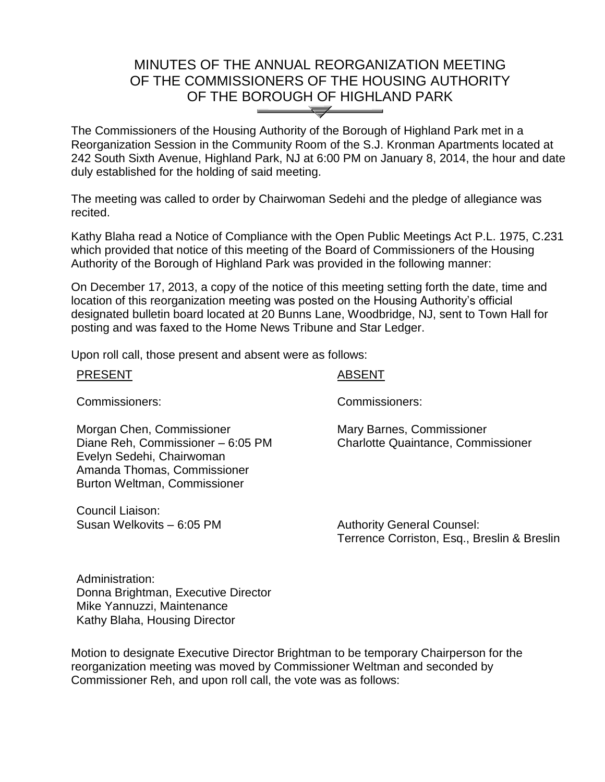## MINUTES OF THE ANNUAL REORGANIZATION MEETING OF THE COMMISSIONERS OF THE HOUSING AUTHORITY OF THE BOROUGH OF HIGHLAND PARK  $\overline{\phantom{a}}$

The Commissioners of the Housing Authority of the Borough of Highland Park met in a Reorganization Session in the Community Room of the S.J. Kronman Apartments located at 242 South Sixth Avenue, Highland Park, NJ at 6:00 PM on January 8, 2014, the hour and date duly established for the holding of said meeting.

The meeting was called to order by Chairwoman Sedehi and the pledge of allegiance was recited.

Kathy Blaha read a Notice of Compliance with the Open Public Meetings Act P.L. 1975, C.231 which provided that notice of this meeting of the Board of Commissioners of the Housing Authority of the Borough of Highland Park was provided in the following manner:

On December 17, 2013, a copy of the notice of this meeting setting forth the date, time and location of this reorganization meeting was posted on the Housing Authority's official designated bulletin board located at 20 Bunns Lane, Woodbridge, NJ, sent to Town Hall for posting and was faxed to the Home News Tribune and Star Ledger.

Upon roll call, those present and absent were as follows:

| <b>PRESENT</b>                                                                                                                                             | <b>ABSENT</b>                                                                    |
|------------------------------------------------------------------------------------------------------------------------------------------------------------|----------------------------------------------------------------------------------|
| Commissioners:                                                                                                                                             | Commissioners:                                                                   |
| Morgan Chen, Commissioner<br>Diane Reh, Commissioner - 6:05 PM<br>Evelyn Sedehi, Chairwoman<br>Amanda Thomas, Commissioner<br>Burton Weltman, Commissioner | Mary Barnes, Commissioner<br><b>Charlotte Quaintance, Commissioner</b>           |
| Council Liaison:<br>Susan Welkovits - 6:05 PM                                                                                                              | <b>Authority General Counsel:</b><br>Terrence Corriston, Esq., Breslin & Breslin |

Administration: Donna Brightman, Executive Director Mike Yannuzzi, Maintenance Kathy Blaha, Housing Director

Motion to designate Executive Director Brightman to be temporary Chairperson for the reorganization meeting was moved by Commissioner Weltman and seconded by Commissioner Reh, and upon roll call, the vote was as follows: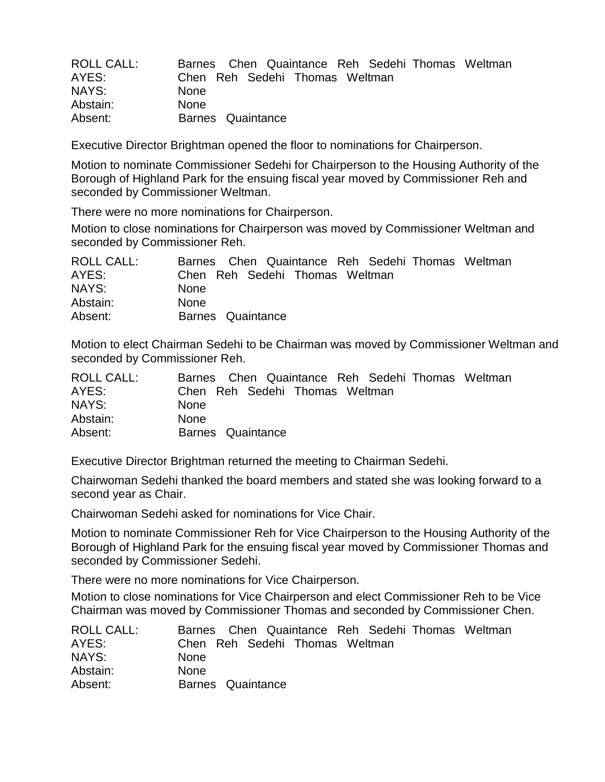| <b>ROLL CALL:</b> | Barnes Chen Quaintance Reh Sedehi Thomas Weltman |
|-------------------|--------------------------------------------------|
| AYES:             | Chen Reh Sedehi Thomas Weltman                   |
| NAYS:             | <b>None</b>                                      |
| Abstain:          | <b>None</b>                                      |
| Absent:           | Barnes Quaintance                                |

Executive Director Brightman opened the floor to nominations for Chairperson.

Motion to nominate Commissioner Sedehi for Chairperson to the Housing Authority of the Borough of Highland Park for the ensuing fiscal year moved by Commissioner Reh and seconded by Commissioner Weltman.

There were no more nominations for Chairperson.

Motion to close nominations for Chairperson was moved by Commissioner Weltman and seconded by Commissioner Reh.

| ROLL CALL: | Barnes Chen Quaintance Reh Sedehi Thomas Weltman |
|------------|--------------------------------------------------|
| AYES:      | Chen Reh Sedehi Thomas Weltman                   |
| NAYS:      | <b>None</b>                                      |
| Abstain:   | <b>None</b>                                      |
| Absent:    | Barnes Quaintance                                |

Motion to elect Chairman Sedehi to be Chairman was moved by Commissioner Weltman and seconded by Commissioner Reh.

| ROLL CALL: | Barnes Chen Quaintance Reh Sedehi Thomas Weltman |
|------------|--------------------------------------------------|
| AYES:      | Chen Reh Sedehi Thomas Weltman                   |
| NAYS:      | <b>None</b>                                      |
| Abstain:   | <b>None</b>                                      |
| Absent:    | Barnes Quaintance                                |

Executive Director Brightman returned the meeting to Chairman Sedehi.

Chairwoman Sedehi thanked the board members and stated she was looking forward to a second year as Chair.

Chairwoman Sedehi asked for nominations for Vice Chair.

Motion to nominate Commissioner Reh for Vice Chairperson to the Housing Authority of the Borough of Highland Park for the ensuing fiscal year moved by Commissioner Thomas and seconded by Commissioner Sedehi.

There were no more nominations for Vice Chairperson.

Motion to close nominations for Vice Chairperson and elect Commissioner Reh to be Vice Chairman was moved by Commissioner Thomas and seconded by Commissioner Chen.

| <b>ROLL CALL:</b> | Barnes Chen Quaintance Reh Sedehi Thomas Weltman |
|-------------------|--------------------------------------------------|
| AYES:             | Chen Reh Sedehi Thomas Weltman                   |
| NAYS:             | <b>None</b>                                      |
| Abstain:          | <b>None</b>                                      |
| Absent:           | Barnes Quaintance                                |